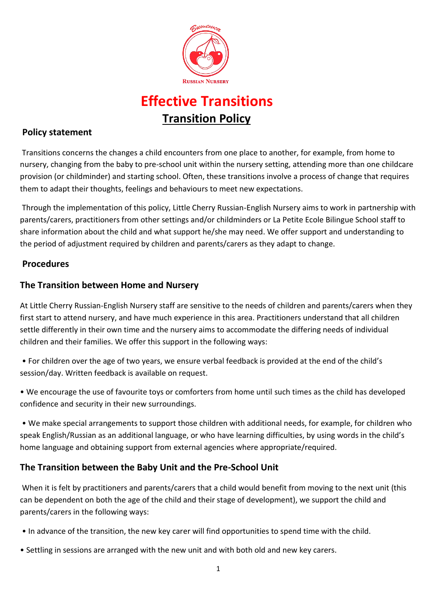

# **Effective Transitions Transition Policy**

## **Policy statement**

Transitions concerns the changes a child encounters from one place to another, for example, from home to nursery, changing from the baby to pre-school unit within the nursery setting, attending more than one childcare provision (or childminder) and starting school. Often, these transitions involve a process of change that requires them to adapt their thoughts, feelings and behaviours to meet new expectations.

Through the implementation of this policy, Little Cherry Russian-English Nursery aims to work in partnership with parents/carers, practitioners from other settings and/or childminders or La Petite Ecole Bilingue School staff to share information about the child and what support he/she may need. We offer support and understanding to the period of adjustment required by children and parents/carers as they adapt to change.

### **Procedures**

### **The Transition between Home and Nursery**

At Little Cherry Russian-English Nursery staff are sensitive to the needs of children and parents/carers when they first start to attend nursery, and have much experience in this area. Practitioners understand that all children settle differently in their own time and the nursery aims to accommodate the differing needs of individual children and their families. We offer this support in the following ways:

• For children over the age of two years, we ensure verbal feedback is provided at the end of the child's session/day. Written feedback is available on request.

• We encourage the use of favourite toys or comforters from home until such times as the child has developed confidence and security in their new surroundings.

• We make special arrangements to support those children with additional needs, for example, for children who speak English/Russian as an additional language, or who have learning difficulties, by using words in the child's home language and obtaining support from external agencies where appropriate/required.

### **The Transition between the Baby Unit and the Pre-School Unit**

When it is felt by practitioners and parents/carers that a child would benefit from moving to the next unit (this can be dependent on both the age of the child and their stage of development), we support the child and parents/carers in the following ways:

- In advance of the transition, the new key carer will find opportunities to spend time with the child.
- Settling in sessions are arranged with the new unit and with both old and new key carers.